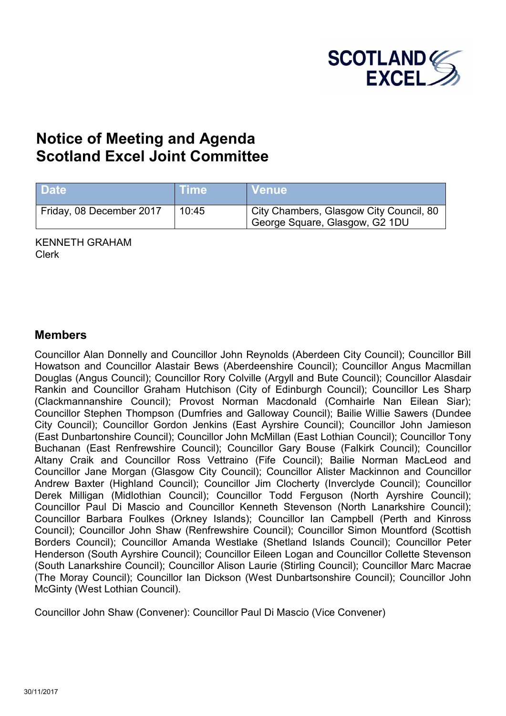

# **Notice of Meeting and Agenda Scotland Excel Joint Committee**

| <b>Date</b>              | <b>Time</b> | <b>∣Venue</b>                                                             |
|--------------------------|-------------|---------------------------------------------------------------------------|
| Friday, 08 December 2017 | 10:45       | City Chambers, Glasgow City Council, 80<br>George Square, Glasgow, G2 1DU |

KENNETH GRAHAM Clerk

#### **Members**

Councillor Alan Donnelly and Councillor John Reynolds (Aberdeen City Council); Councillor Bill Howatson and Councillor Alastair Bews (Aberdeenshire Council); Councillor Angus Macmillan Douglas (Angus Council); Councillor Rory Colville (Argyll and Bute Council); Councillor Alasdair Rankin and Councillor Graham Hutchison (City of Edinburgh Council); Councillor Les Sharp (Clackmannanshire Council); Provost Norman Macdonald (Comhairle Nan Eilean Siar); Councillor Stephen Thompson (Dumfries and Galloway Council); Bailie Willie Sawers (Dundee City Council); Councillor Gordon Jenkins (East Ayrshire Council); Councillor John Jamieson (East Dunbartonshire Council); Councillor John McMillan (East Lothian Council); Councillor Tony Buchanan (East Renfrewshire Council); Councillor Gary Bouse (Falkirk Council); Councillor Altany Craik and Councillor Ross Vettraino (Fife Council); Bailie Norman MacLeod and Councillor Jane Morgan (Glasgow City Council); Councillor Alister Mackinnon and Councillor Andrew Baxter (Highland Council); Councillor Jim Clocherty (Inverclyde Council); Councillor Derek Milligan (Midlothian Council); Councillor Todd Ferguson (North Ayrshire Council); Councillor Paul Di Mascio and Councillor Kenneth Stevenson (North Lanarkshire Council); Councillor Barbara Foulkes (Orkney Islands); Councillor Ian Campbell (Perth and Kinross Council); Councillor John Shaw (Renfrewshire Council); Councillor Simon Mountford (Scottish Borders Council); Councillor Amanda Westlake (Shetland Islands Council); Councillor Peter Henderson (South Ayrshire Council); Councillor Eileen Logan and Councillor Collette Stevenson (South Lanarkshire Council); Councillor Alison Laurie (Stirling Council); Councillor Marc Macrae (The Moray Council); Councillor Ian Dickson (West Dunbartsonshire Council); Councillor John McGinty (West Lothian Council).

Councillor John Shaw (Convener): Councillor Paul Di Mascio (Vice Convener)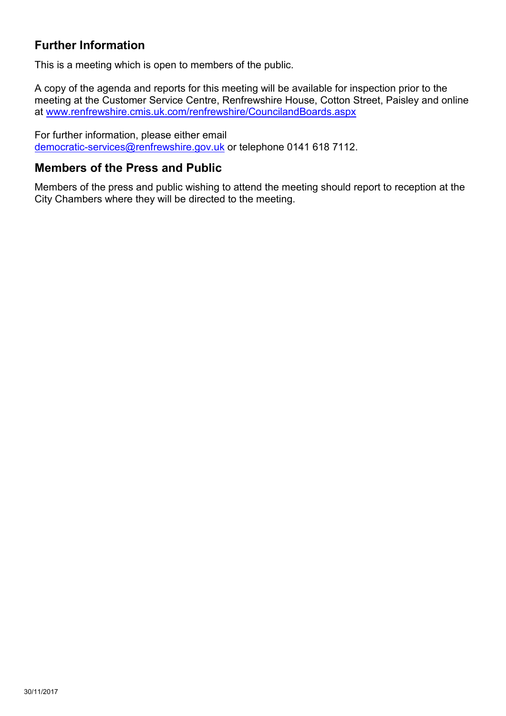### **Further Information**

This is a meeting which is open to members of the public.

A copy of the agenda and reports for this meeting will be available for inspection prior to the meeting at the Customer Service Centre, Renfrewshire House, Cotton Street, Paisley and online at [www.renfrewshire.cmis.uk.com/renfrewshire/CouncilandBoards.aspx](http://www.renfrewshire.cmis.uk.com/renfrewshire/CouncilandBoards.aspx)

For further information, please either email [democratic-services@renfrewshire.gov.uk](mailto:democratic-services@renfrewshire.gov.uk) or telephone 0141 618 7112.

#### **Members of the Press and Public**

Members of the press and public wishing to attend the meeting should report to reception at the City Chambers where they will be directed to the meeting.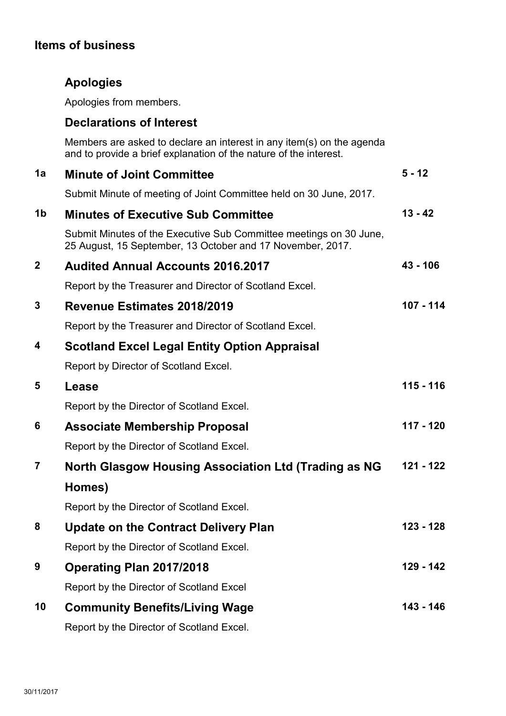## **Items of business**

## **Apologies**

Apologies from members.

### **Declarations of Interest**

Members are asked to declare an interest in any item(s) on the agenda and to provide a brief explanation of the nature of the interest.

| 1a                      | <b>Minute of Joint Committee</b>                                                                                                 | $5 - 12$   |
|-------------------------|----------------------------------------------------------------------------------------------------------------------------------|------------|
|                         | Submit Minute of meeting of Joint Committee held on 30 June, 2017.                                                               |            |
| 1 <sub>b</sub>          | <b>Minutes of Executive Sub Committee</b>                                                                                        | $13 - 42$  |
|                         | Submit Minutes of the Executive Sub Committee meetings on 30 June,<br>25 August, 15 September, 13 October and 17 November, 2017. |            |
| $\mathbf{2}$            | <b>Audited Annual Accounts 2016,2017</b>                                                                                         | $43 - 106$ |
|                         | Report by the Treasurer and Director of Scotland Excel.                                                                          |            |
| 3                       | Revenue Estimates 2018/2019                                                                                                      | 107 - 114  |
|                         | Report by the Treasurer and Director of Scotland Excel.                                                                          |            |
| 4                       | <b>Scotland Excel Legal Entity Option Appraisal</b>                                                                              |            |
|                         | Report by Director of Scotland Excel.                                                                                            |            |
| 5                       | Lease                                                                                                                            | 115 - 116  |
|                         | Report by the Director of Scotland Excel.                                                                                        |            |
| 6                       | <b>Associate Membership Proposal</b>                                                                                             | 117 - 120  |
|                         | Report by the Director of Scotland Excel.                                                                                        |            |
| $\overline{\mathbf{r}}$ | North Glasgow Housing Association Ltd (Trading as NG                                                                             | 121 - 122  |
|                         | Homes)                                                                                                                           |            |
|                         | Report by the Director of Scotland Excel.                                                                                        |            |
| 8                       | <b>Update on the Contract Delivery Plan</b>                                                                                      | 123 - 128  |
|                         | Report by the Director of Scotland Excel                                                                                         |            |
| 9                       | Operating Plan 2017/2018                                                                                                         | 129 - 142  |
|                         | Report by the Director of Scotland Excel                                                                                         |            |
| 10                      | <b>Community Benefits/Living Wage</b>                                                                                            | 143 - 146  |
|                         | Report by the Director of Scotland Excel.                                                                                        |            |